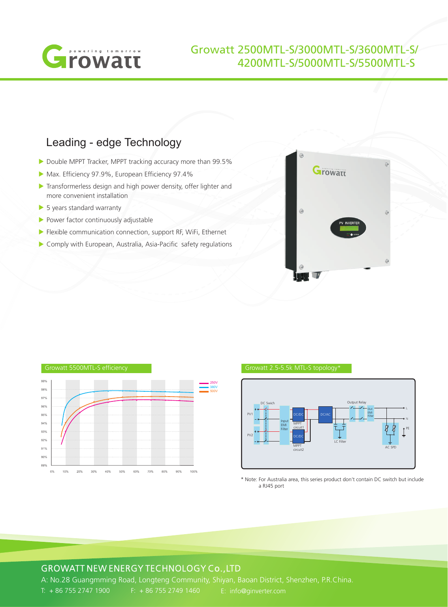

# Growatt 2500MTL-S/3000MTL-S/3600MTL-S/ 4200MTL-S/5000MTL-S/5500MTL-S

# Leading - edge Technology

- Double MPPT Tracker, MPPT tracking accuracy more than 99.5%
- Max. Efficiency 97.9%, European Efficiency 97.4%
- **Transformerless design and high power density, offer lighter and** more convenient installation
- S years standard warranty
- Power factor continuously adjustable
- **Flexible communication connection, support RF, WiFi, Ethernet**
- Comply with European, Australia, Asia-Pacific safety regulations







\* Note: For Australia area, this series product don't contain DC switch but include a RJ45 port

## GROWATT NEW ENERGY TECHNOLOGY Co.,LTD

A: No.28 Guangmming Road, Longteng Community, Shiyan, Baoan District, Shenzhen, P.R.China. T: + 86 755 2747 1900 F: + 86 755 2749 1460 E: info@ginverter.com